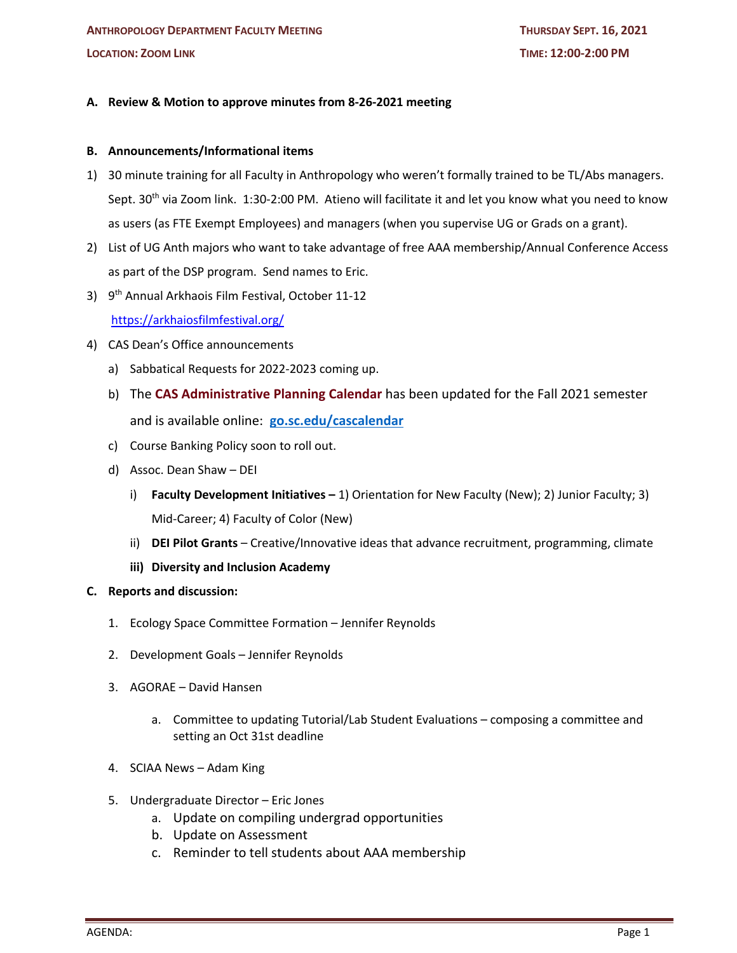## **A. Review & Motion to approve minutes from 8-26-2021 meeting**

## **B. Announcements/Informational items**

- 1) 30 minute training for all Faculty in Anthropology who weren't formally trained to be TL/Abs managers. Sept. 30<sup>th</sup> via Zoom link. 1:30-2:00 PM. Atieno will facilitate it and let you know what you need to know as users (as FTE Exempt Employees) and managers (when you supervise UG or Grads on a grant).
- 2) List of UG Anth majors who want to take advantage of free AAA membership/Annual Conference Access as part of the DSP program. Send names to Eric.
- 3) 9th Annual Arkhaois Film Festival, October 11-12 https://arkhaiosfilmfestival.org/
- 4) CAS Dean's Office announcements
	- a) Sabbatical Requests for 2022-2023 coming up.
	- b) The **CAS Administrative Planning Calendar** has been updated for the Fall 2021 semester and is available online: **go.sc.edu/cascalendar**
	- c) Course Banking Policy soon to roll out.
	- d) Assoc. Dean Shaw DEI
		- i) **Faculty Development Initiatives –** 1) Orientation for New Faculty (New); 2) Junior Faculty; 3) Mid-Career; 4) Faculty of Color (New)
		- ii) **DEI Pilot Grants** Creative/Innovative ideas that advance recruitment, programming, climate
		- **iii) Diversity and Inclusion Academy**
- **C. Reports and discussion:**
	- 1. Ecology Space Committee Formation Jennifer Reynolds
	- 2. Development Goals Jennifer Reynolds
	- 3. AGORAE David Hansen
		- a. Committee to updating Tutorial/Lab Student Evaluations composing a committee and setting an Oct 31st deadline
	- 4. SCIAA News Adam King
	- 5. Undergraduate Director Eric Jones
		- a. Update on compiling undergrad opportunities
		- b. Update on Assessment
		- c. Reminder to tell students about AAA membership